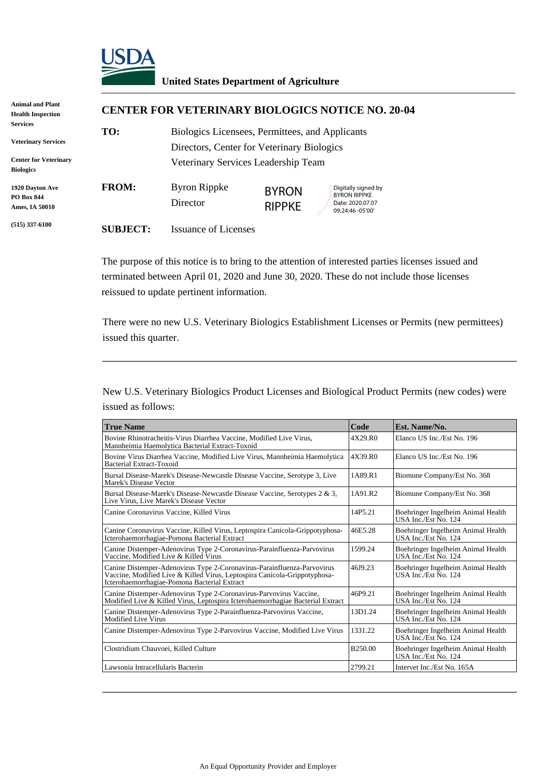

## **United States Department of Agriculture**

| <b>Animal and Plant</b><br><b>Health Inspection</b> | <b>CENTER FOR VETERINARY BIOLOGICS NOTICE NO. 20-04</b> |                                                                                               |                               |                                                                                    |  |  |
|-----------------------------------------------------|---------------------------------------------------------|-----------------------------------------------------------------------------------------------|-------------------------------|------------------------------------------------------------------------------------|--|--|
| Services<br><b>Veterinary Services</b>              | TO:                                                     | Biologics Licensees, Permittees, and Applicants<br>Directors, Center for Veterinary Biologics |                               |                                                                                    |  |  |
| <b>Center for Veterinary</b><br><b>Biologics</b>    |                                                         | Veterinary Services Leadership Team                                                           |                               |                                                                                    |  |  |
| 1920 Davton Ave<br>PO Box 844<br>Ames, IA 50010     | <b>FROM:</b>                                            | <b>Byron Rippke</b><br>Director                                                               | <b>BYRON</b><br><b>RIPPKE</b> | Digitally signed by<br><b>BYRON RIPPKE</b><br>Date: 2020.07.07<br>09:24:46 -05'00' |  |  |
| $(515)$ 337-6100                                    | <b>SUBJECT:</b>                                         | <b>Issuance of Licenses</b>                                                                   |                               |                                                                                    |  |  |

The purpose of this notice is to bring to the attention of interested parties licenses issued and terminated between April 01, 2020 and June 30, 2020. These do not include those licenses reissued to update pertinent information.

There were no new U.S. Veterinary Biologics Establishment Licenses or Permits (new permittees) issued this quarter.

\_\_\_\_\_\_\_\_\_\_\_\_\_\_\_\_\_\_\_\_\_\_\_\_\_\_\_\_\_\_\_\_\_\_\_\_\_\_\_\_\_\_\_\_\_\_\_\_\_\_\_\_\_\_\_\_\_\_\_\_\_\_\_\_

New U.S. Veterinary Biologics Product Licenses and Biological Product Permits (new codes) were issued as follows:

| <b>True Name</b>                                                                                                                                                                                     |                     | Est. Name/No.                                              |
|------------------------------------------------------------------------------------------------------------------------------------------------------------------------------------------------------|---------------------|------------------------------------------------------------|
| Bovine Rhinotracheitis-Virus Diarrhea Vaccine, Modified Live Virus,<br>Mannheimia Haemolytica Bacterial Extract-Toxoid                                                                               |                     | Elanco US Inc./Est No. 196                                 |
| Bovine Virus Diarrhea Vaccine, Modified Live Virus, Mannheimia Haemolytica<br>Bacterial Extract-Toxoid                                                                                               |                     | Elanco US Inc./Est No. 196                                 |
| Bursal Disease-Marek's Disease-Newcastle Disease Vaccine, Serotype 3, Live<br>Marek's Disease Vector                                                                                                 |                     | Biomune Company/Est No. 368                                |
| Bursal Disease-Marek's Disease-Newcastle Disease Vaccine, Serotypes 2 & 3,<br>Live Virus, Live Marek's Disease Vector                                                                                |                     | Biomune Company/Est No. 368                                |
| Canine Coronavirus Vaccine, Killed Virus                                                                                                                                                             | 14P5.21             | Boehringer Ingelheim Animal Health<br>USA Inc./Est No. 124 |
| Canine Coronavirus Vaccine, Killed Virus, Leptospira Canicola-Grippotyphosa-<br>Icterohaemorrhagiae-Pomona Bacterial Extract                                                                         | 46E5.28             | Boehringer Ingelheim Animal Health<br>USA Inc./Est No. 124 |
| Canine Distemper-Adenovirus Type 2-Coronavirus-Parainfluenza-Parvovirus<br>Vaccine. Modified Live & Killed Virus                                                                                     | 1599.24             | Boehringer Ingelheim Animal Health<br>USA Inc./Est No. 124 |
| Canine Distemper-Adenovirus Type 2-Coronavirus-Parainfluenza-Parvovirus<br>Vaccine, Modified Live & Killed Virus, Leptospira Canicola-Grippotyphosa-<br>Icterohaemorrhagiae-Pomona Bacterial Extract | 46J9.23             | Boehringer Ingelheim Animal Health<br>USA Inc./Est No. 124 |
| Canine Distemper-Adenovirus Type 2-Coronavirus-Parvovirus Vaccine,<br>Modified Live & Killed Virus, Leptospira Icterohaemorrhagiae Bacterial Extract                                                 | 46P9.21             | Boehringer Ingelheim Animal Health<br>USA Inc./Est No. 124 |
| Canine Distemper-Adenovirus Type 2-Parainfluenza-Parvovirus Vaccine,<br>Modified Live Virus                                                                                                          | 13D1.24             | Boehringer Ingelheim Animal Health<br>USA Inc./Est No. 124 |
| Canine Distemper-Adenovirus Type 2-Parvovirus Vaccine, Modified Live Virus                                                                                                                           | 1331.22             | Boehringer Ingelheim Animal Health<br>USA Inc./Est No. 124 |
| Clostridium Chauvoei, Killed Culture                                                                                                                                                                 | B <sub>250.00</sub> | Boehringer Ingelheim Animal Health<br>USA Inc./Est No. 124 |
| Lawsonia Intracellularis Bacterin                                                                                                                                                                    | 2799.21             | Intervet Inc./Est No. 165A                                 |

\_\_\_\_\_\_\_\_\_\_\_\_\_\_\_\_\_\_\_\_\_\_\_\_\_\_\_\_\_\_\_\_\_\_\_\_\_\_\_\_\_\_\_\_\_\_\_\_\_\_\_\_\_\_\_\_\_\_\_\_\_\_\_\_